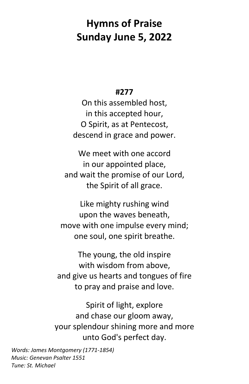# **Hymns of Praise Sunday June 5, 2022**

#### **#277**

On this assembled host, in this accepted hour, O Spirit, as at Pentecost, descend in grace and power.

We meet with one accord in our appointed place, and wait the promise of our Lord, the Spirit of all grace.

Like mighty rushing wind upon the waves beneath, move with one impulse every mind; one soul, one spirit breathe.

The young, the old inspire with wisdom from above, and give us hearts and tongues of fire to pray and praise and love.

Spirit of light, explore and chase our gloom away, your splendour shining more and more unto God's perfect day.

*Words: James Montgomery (1771-1854) Music: Genevan Psalter 1551 Tune: St. Michael*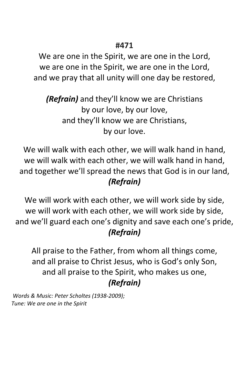### **#471**

We are one in the Spirit, we are one in the Lord, we are one in the Spirit, we are one in the Lord, and we pray that all unity will one day be restored,

*(Refrain)* and they'll know we are Christians by our love, by our love, and they'll know we are Christians, by our love.

We will walk with each other, we will walk hand in hand, we will walk with each other, we will walk hand in hand, and together we'll spread the news that God is in our land, *(Refrain)*

We will work with each other, we will work side by side, we will work with each other, we will work side by side, and we'll guard each one's dignity and save each one's pride, *(Refrain)*

All praise to the Father, from whom all things come, and all praise to Christ Jesus, who is God's only Son, and all praise to the Spirit, who makes us one, *(Refrain)*

*Words & Music: Peter Scholtes (1938-2009); Tune: We are one in the Spirit*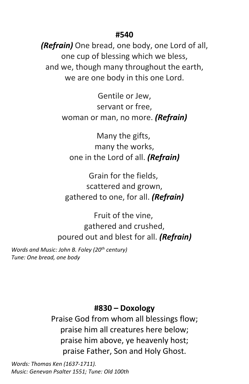#### **#540**

*(Refrain)* One bread, one body, one Lord of all, one cup of blessing which we bless, and we, though many throughout the earth, we are one body in this one Lord.

> Gentile or Jew, servant or free, woman or man, no more. *(Refrain)*

Many the gifts, many the works, one in the Lord of all. *(Refrain)*

Grain for the fields, scattered and grown, gathered to one, for all. *(Refrain)*

Fruit of the vine, gathered and crushed, poured out and blest for all. *(Refrain)*

*Words and Music: John B. Foley (20th century) Tune: One bread, one body*

#### **#830 – Doxology**

Praise God from whom all blessings flow; praise him all creatures here below; praise him above, ye heavenly host; praise Father, Son and Holy Ghost.

*Words: Thomas Ken (1637-1711). Music: Genevan Psalter 1551; Tune: Old 100th*